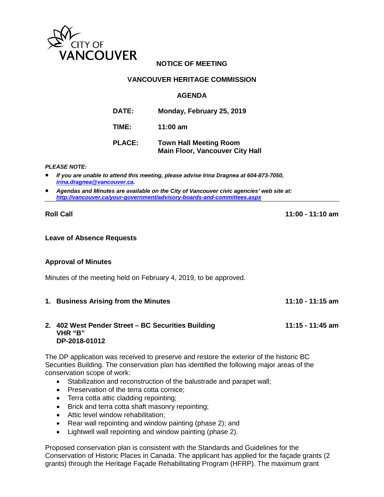

# **NOTICE OF MEETING**

## **VANCOUVER HERITAGE COMMISSION**

#### **AGENDA**

| <b>DATE:</b>  | Monday, February 25, 2019                                               |
|---------------|-------------------------------------------------------------------------|
| TIME:         | 11:00 $am$                                                              |
| <b>PLACE:</b> | <b>Town Hall Meeting Room</b><br><b>Main Floor, Vancouver City Hall</b> |

#### *PLEASE NOTE:*

- *If you are unable to attend this meeting, please advise Irina Dragnea at 604-873-7050, [irina.dragnea@vancouver.ca.](mailto:irina.dragnea@vancouver.ca)*
- *Agendas and Minutes are available on the City of Vancouver civic agencies' web site at: <http://vancouver.ca/your-government/advisory-boards-and-committees.aspx>*

**Roll Call 11:00 - 11:10 am**

#### **Leave of Absence Requests**

#### **Approval of Minutes**

Minutes of the meeting held on February 4, 2019, to be approved.

**1. Business Arising from the Minutes 11:10 - 11:15 am**

#### **2. 402 West Pender Street – BC Securities Building 11:15 - 11:45 am VHR "B" DP-2018-01012**

The DP application was received to preserve and restore the exterior of the historic BC Securities Building. The conservation plan has identified the following major areas of the conservation scope of work:

- Stabilization and reconstruction of the balustrade and parapet wall;
- Preservation of the terra cotta cornice;
- Terra cotta attic cladding repointing;
- Brick and terra cotta shaft masonry repointing;
- Attic level window rehabilitation:
- Rear wall repointing and window painting (phase 2); and
- Lightwell wall repointing and window painting (phase 2).

Proposed conservation plan is consistent with the Standards and Guidelines for the Conservation of Historic Places in Canada. The applicant has applied for the façade grants (2 grants) through the Heritage Façade Rehabilitating Program (HFRP). The maximum grant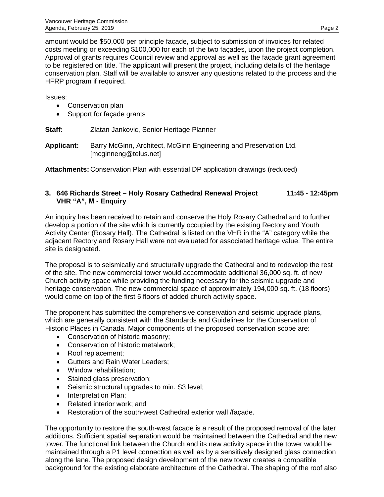amount would be \$50,000 per principle façade, subject to submission of invoices for related costs meeting or exceeding \$100,000 for each of the two façades, upon the project completion. Approval of grants requires Council review and approval as well as the façade grant agreement to be registered on title. The applicant will present the project, including details of the heritage conservation plan. Staff will be available to answer any questions related to the process and the HFRP program if required.

Issues:

- Conservation plan
- Support for façade grants

**Staff:** Zlatan Jankovic, Senior Heritage Planner

**Applicant:** Barry McGinn, Architect, McGinn Engineering and Preservation Ltd. [mcginneng@telus.net]

**Attachments:** Conservation Plan with essential DP application drawings (reduced)

## **3. 646 Richards Street – Holy Rosary Cathedral Renewal Project 11:45 - 12:45pm VHR "A", M - Enquiry**

An inquiry has been received to retain and conserve the Holy Rosary Cathedral and to further develop a portion of the site which is currently occupied by the existing Rectory and Youth Activity Center (Rosary Hall). The Cathedral is listed on the VHR in the "A" category while the adjacent Rectory and Rosary Hall were not evaluated for associated heritage value. The entire site is designated.

The proposal is to seismically and structurally upgrade the Cathedral and to redevelop the rest of the site. The new commercial tower would accommodate additional 36,000 sq. ft. of new Church activity space while providing the funding necessary for the seismic upgrade and heritage conservation. The new commercial space of approximately 194,000 sq. ft. (18 floors) would come on top of the first 5 floors of added church activity space.

The proponent has submitted the comprehensive conservation and seismic upgrade plans, which are generally consistent with the Standards and Guidelines for the Conservation of Historic Places in Canada. Major components of the proposed conservation scope are:

- Conservation of historic masonry;
- Conservation of historic metalwork;
- Roof replacement;
- Gutters and Rain Water Leaders;
- Window rehabilitation;
- Stained glass preservation;
- Seismic structural upgrades to min. S3 level;
- Interpretation Plan;
- Related interior work; and
- Restoration of the south-west Cathedral exterior wall /façade.

The opportunity to restore the south-west facade is a result of the proposed removal of the later additions. Sufficient spatial separation would be maintained between the Cathedral and the new tower. The functional link between the Church and its new activity space in the tower would be maintained through a P1 level connection as well as by a sensitively designed glass connection along the lane. The proposed design development of the new tower creates a compatible background for the existing elaborate architecture of the Cathedral. The shaping of the roof also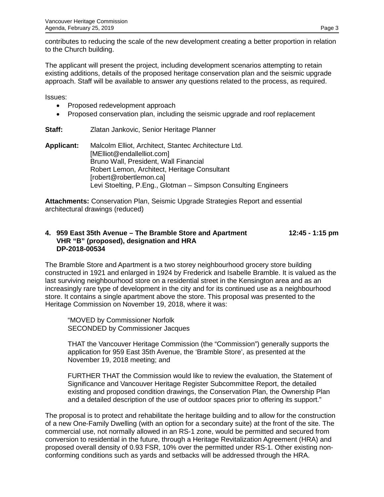contributes to reducing the scale of the new development creating a better proportion in relation to the Church building.

The applicant will present the project, including development scenarios attempting to retain existing additions, details of the proposed heritage conservation plan and the seismic upgrade approach. Staff will be available to answer any questions related to the process, as required.

Issues:

- Proposed redevelopment approach
- Proposed conservation plan, including the seismic upgrade and roof replacement

## **Staff:** Zlatan Jankovic, Senior Heritage Planner

**Applicant:** Malcolm Elliot, Architect, Stantec Architecture Ltd. [MElliot@endallelliot.com] Bruno Wall, President, Wall Financial Robert Lemon, Architect, Heritage Consultant [robert@robertlemon.ca] Levi Stoelting, P.Eng., Glotman – Simpson Consulting Engineers

**Attachments:** Conservation Plan, Seismic Upgrade Strategies Report and essential architectural drawings (reduced)

#### **4. 959 East 35th Avenue – The Bramble Store and Apartment 12:45 - 1:15 pm VHR "B" (proposed), designation and HRA DP-2018-00534**

The Bramble Store and Apartment is a two storey neighbourhood grocery store building constructed in 1921 and enlarged in 1924 by Frederick and Isabelle Bramble. It is valued as the last surviving neighbourhood store on a residential street in the Kensington area and as an increasingly rare type of development in the city and for its continued use as a neighbourhood store. It contains a single apartment above the store. This proposal was presented to the Heritage Commission on November 19, 2018, where it was:

"MOVED by Commissioner Norfolk SECONDED by Commissioner Jacques

THAT the Vancouver Heritage Commission (the "Commission") generally supports the application for 959 East 35th Avenue, the 'Bramble Store', as presented at the November 19, 2018 meeting; and

FURTHER THAT the Commission would like to review the evaluation, the Statement of Significance and Vancouver Heritage Register Subcommittee Report, the detailed existing and proposed condition drawings, the Conservation Plan, the Ownership Plan and a detailed description of the use of outdoor spaces prior to offering its support."

The proposal is to protect and rehabilitate the heritage building and to allow for the construction of a new One-Family Dwelling (with an option for a secondary suite) at the front of the site. The commercial use, not normally allowed in an RS-1 zone, would be permitted and secured from conversion to residential in the future, through a Heritage Revitalization Agreement (HRA) and proposed overall density of 0.93 FSR, 10% over the permitted under RS-1. Other existing nonconforming conditions such as yards and setbacks will be addressed through the HRA.